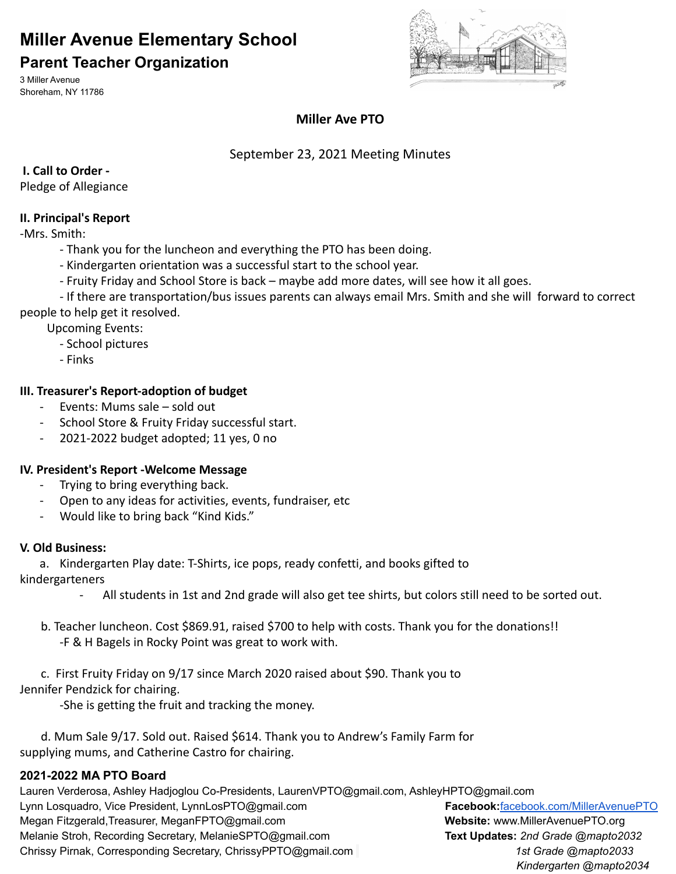# **Miller Avenue Elementary School**

### **Parent Teacher Organization**

3 Miller Avenue Shoreham, NY 11786



### **Miller Ave PTO**

### September 23, 2021 Meeting Minutes

### **I. Call to Order -**

Pledge of Allegiance

### **II. Principal's Report**

-Mrs. Smith:

- Thank you for the luncheon and everything the PTO has been doing.
- Kindergarten orientation was a successful start to the school year.
- Fruity Friday and School Store is back maybe add more dates, will see how it all goes.

- If there are transportation/bus issues parents can always email Mrs. Smith and she will forward to correct people to help get it resolved.

Upcoming Events:

- School pictures
- Finks

### **III. Treasurer's Report-adoption of budget**

- Events: Mums sale sold out
- School Store & Fruity Friday successful start.
- 2021-2022 budget adopted; 11 yes, 0 no

### **IV. President's Report -Welcome Message**

- Trying to bring everything back.
- Open to any ideas for activities, events, fundraiser, etc
- Would like to bring back "Kind Kids."

### **V. Old Business:**

a. Kindergarten Play date: T-Shirts, ice pops, ready confetti, and books gifted to

kindergarteners

- All students in 1st and 2nd grade will also get tee shirts, but colors still need to be sorted out.
- b. Teacher luncheon. Cost \$869.91, raised \$700 to help with costs. Thank you for the donations!! -F & H Bagels in Rocky Point was great to work with.

c. First Fruity Friday on 9/17 since March 2020 raised about \$90. Thank you to Jennifer Pendzick for chairing.

-She is getting the fruit and tracking the money.

d. Mum Sale 9/17. Sold out. Raised \$614. Thank you to Andrew's Family Farm for supplying mums, and Catherine Castro for chairing.

### **2021-2022 MA PTO Board**

Lauren Verderosa, Ashley Hadjoglou Co-Presidents, LaurenVPTO@gmail.com, AshleyHPTO@gmail.com Lynn Losquadro, Vice President, LynnLosPTO@gmail.com **Facebook:**[facebook.com/MillerAvenuePTO](http://www.facebook.com/MillerAvenuePTO) Megan Fitzgerald,Treasurer, MeganFPTO@gmail.com **Website:** www.MillerAvenuePTO.org Melanie Stroh, Recording Secretary, MelanieSPTO@gmail.com **Text Updates:** *2nd Grade @mapto2032* Chrissy Pirnak, Corresponding Secretary, ChrissyPPTO@gmail.com *1st Grade @mapto2033 Kindergarten @mapto2034*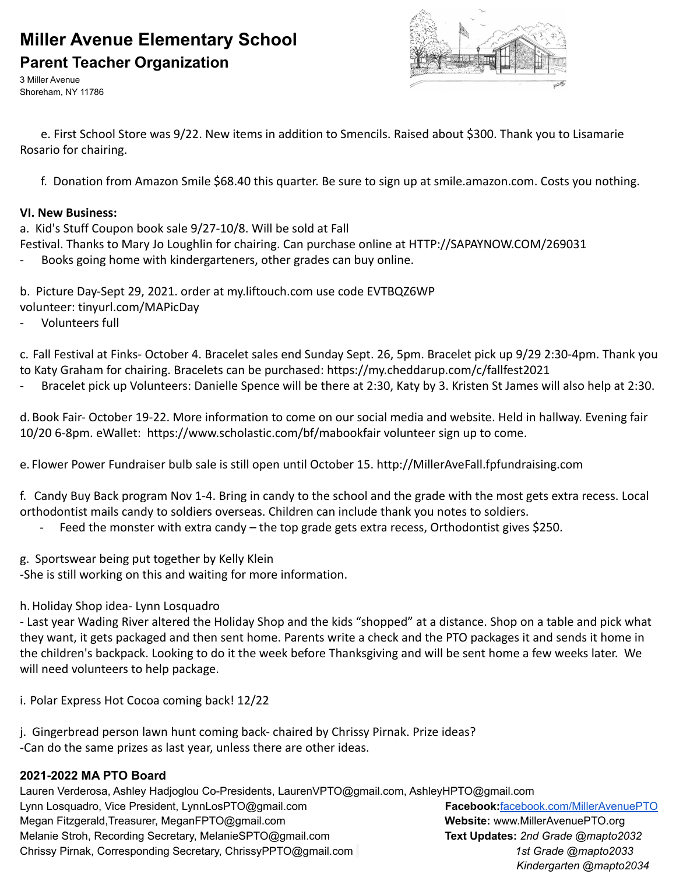# **Miller Avenue Elementary School Parent Teacher Organization**

3 Miller Avenue Shoreham, NY 11786



e. First School Store was 9/22. New items in addition to Smencils. Raised about \$300. Thank you to Lisamarie Rosario for chairing.

f. Donation from Amazon Smile \$68.40 this quarter. Be sure to sign up at smile.amazon.com. Costs you nothing.

#### **VI. New Business:**

a. Kid's Stuff Coupon book sale 9/27-10/8. Will be sold at Fall

Festival. Thanks to Mary Jo Loughlin for chairing. Can purchase online at [HTTP://SAPAYNOW.COM/269031](http://sapaynow.com/269031?fbclid=IwAR05JsyjFdys8cOHvw3uHGHu6OPmA-Hefh88A8xN0zLy_WOwYicL0vQQ6-4)

Books going home with kindergarteners, other grades can buy online.

b. Picture Day-Sept 29, 2021. order at my.liftouch.com use code EVTBQZ6WP

- volunteer: tinyurl.com/MAPicDay
- Volunteers full

c. Fall Festival at Finks- October 4. Bracelet sales end Sunday Sept. 26, 5pm. Bracelet pick up 9/29 2:30-4pm. Thank you to Katy Graham for chairing. Bracelets can be purchased: [https://my.cheddarup.com/c/fallfest2021](https://my.cheddarup.com/c/fallfest2021?fbclid=IwAR0jv5aTH3t_LMdozxM7hflhZZGJyp34H_l3-9HpyNL7_1ABw0mP2HFqfKY)

- Bracelet pick up Volunteers: Danielle Spence will be there at 2:30, Katy by 3. Kristen St James will also help at 2:30.

d. Book Fair- October 19-22. More information to come on our social media and website. Held in hallway. Evening fair 10/20 6-8pm. eWallet: <https://www.scholastic.com/bf/mabookfair> volunteer sign up to come.

e. Flower Power Fundraiser bulb sale is still open until October 15. [http://MillerAveFall.fpfundraising.com](http://milleravefall.fpfundraising.com/)

f. Candy Buy Back program Nov 1-4. Bring in candy to the school and the grade with the most gets extra recess. Local orthodontist mails candy to soldiers overseas. Children can include thank you notes to soldiers.

- Feed the monster with extra candy the top grade gets extra recess, Orthodontist gives \$250.
- g. Sportswear being put together by Kelly Klein

-She is still working on this and waiting for more information.

h.Holiday Shop idea- Lynn Losquadro

- Last year Wading River altered the Holiday Shop and the kids "shopped" at a distance. Shop on a table and pick what they want, it gets packaged and then sent home. Parents write a check and the PTO packages it and sends it home in the children's backpack. Looking to do it the week before Thanksgiving and will be sent home a few weeks later. We will need volunteers to help package.

i. Polar Express Hot Cocoa coming back! 12/22

j. Gingerbread person lawn hunt coming back- chaired by Chrissy Pirnak. Prize ideas? -Can do the same prizes as last year, unless there are other ideas.

### **2021-2022 MA PTO Board**

Lauren Verderosa, Ashley Hadjoglou Co-Presidents, LaurenVPTO@gmail.com, AshleyHPTO@gmail.com Lynn Losquadro, Vice President, LynnLosPTO@gmail.com **Facebook:**[facebook.com/MillerAvenuePTO](http://www.facebook.com/MillerAvenuePTO) Megan Fitzgerald,Treasurer, MeganFPTO@gmail.com **Website:** www.MillerAvenuePTO.org Melanie Stroh, Recording Secretary, MelanieSPTO@gmail.com **Text Updates:** *2nd Grade @mapto2032* Chrissy Pirnak, Corresponding Secretary, ChrissyPPTO@gmail.com *1st Grade @mapto2033 Kindergarten @mapto2034*